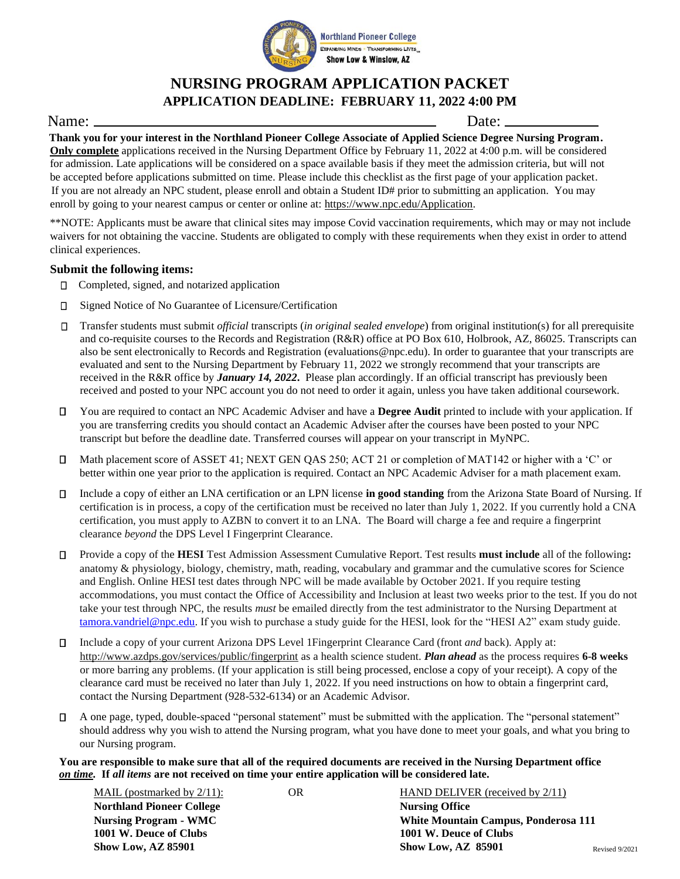

**Northland Pioneer College** EXPANDING MINDS - TRANSFORMING LIVES... **Show Low & Winslow, AZ** 

## **NURSING PROGRAM APPLICATION PACKET APPLICATION DEADLINE: FEBRUARY 11, 2022 4:00 PM**

## Name: Date:

**Thank you for your interest in the Northland Pioneer College Associate of Applied Science Degree Nursing Program. Only complete** applications received in the Nursing Department Office by February 11, 2022 at 4:00 p.m. will be considered for admission. Late applications will be considered on a space available basis if they meet the admission criteria, but will not be accepted before applications submitted on time. Please include this checklist as the first page of your application packet. If you are not already an NPC student, please enroll and obtain a Student ID# prior to submitting an application. You may enroll by going to your nearest campus or center or online at[:](https://www.npc.edu/Application) [https://www.npc.edu/Application.](https://www.npc.edu/Application)

\*\*NOTE: Applicants must be aware that clinical sites may impose Covid vaccination requirements, which may or may not include waivers for not obtaining the vaccine. Students are obligated to comply with these requirements when they exist in order to attend clinical experiences.

### **Submit the following items:**

- Completed, signed, and notarized application
- Signed Notice of No Guarantee of Licensure/Certification  $\Box$
- Transfer students must submit *official* transcripts (*in original sealed envelope*) from original institution(s) for all prerequisite and co-requisite courses to the Records and Registration (R&R) office at PO Box 610, Holbrook, AZ, 86025. Transcripts can also be sent electronically to Records and Registration (evaluations@npc.edu). In order to guarantee that your transcripts are evaluated and sent to the Nursing Department by February 11, 2022 we strongly recommend that your transcripts are received in the R&R office by *January 14, 2022***.** Please plan accordingly. If an official transcript has previously been received and posted to your NPC account you do not need to order it again, unless you have taken additional coursework.
- You are required to contact an NPC Academic Adviser and have a **Degree Audit** printed to include with your application. If П. you are transferring credits you should contact an Academic Adviser after the courses have been posted to your NPC transcript but before the deadline date. Transferred courses will appear on your transcript in MyNPC.
- Math placement score of ASSET 41; NEXT GEN QAS 250; ACT 21 or completion of MAT142 or higher with a 'C' or П better within one year prior to the application is required. Contact an NPC Academic Adviser for a math placement exam.
- П Include a copy of either an LNA certification or an LPN license **in good standing** from the Arizona State Board of Nursing. If certification is in process, a copy of the certification must be received no later than July 1, 2022. If you currently hold a CNA certification, you must apply to AZBN to convert it to an LNA. The Board will charge a fee and require a fingerprint clearance *beyond* the DPS Level I Fingerprint Clearance.
- Provide a copy of the **HESI** Test Admission Assessment Cumulative Report. Test results **must include** all of the following**:**  $\Box$ anatomy & physiology, biology, chemistry, math, reading, vocabulary and grammar and the cumulative scores for Science and English. Online HESI test dates through NPC will be made available by October 2021. If you require testing accommodations, you must contact the Office of Accessibility and Inclusion at least two weeks prior to the test. If you do not take your test through NPC, the results *must* be emailed directly from the test administrator to the Nursing Department at [tamora.vandriel@npc.edu.](mailto:tamora.vandriel@npc.edu) If you wish to purchase a study guide for the HESI, look for the "HESI A2" exam study guide.
- Include a copy of your current Arizona DPS Level 1Fingerprint Clearance Card (front *and* back). Apply at: П <http://www.azdps.gov/services/public/fingerprint> as a health science student. *Plan ahead* as the process requires **6-8 weeks** or more barring any problems. (If your application is still being processed, enclose a copy of your receipt). A copy of the clearance card must be received no later than July 1, 2022. If you need instructions on how to obtain a fingerprint card, contact the Nursing Department (928-532-6134) or an Academic Advisor.
- П A one page, typed, double-spaced "personal statement" must be submitted with the application. The "personal statement" should address why you wish to attend the Nursing program, what you have done to meet your goals, and what you bring to our Nursing program.

**You are responsible to make sure that all of the required documents are received in the Nursing Department office**  *on time.* **If** *all items* **are not received on time your entire application will be considered late.** 

| MAIL (postmarked by $2/11$ ):    | OR | HAND DELIVER (received by $2/11$ )   |                |
|----------------------------------|----|--------------------------------------|----------------|
| <b>Northland Pioneer College</b> |    | <b>Nursing Office</b>                |                |
| <b>Nursing Program - WMC</b>     |    | White Mountain Campus, Ponderosa 111 |                |
| 1001 W. Deuce of Clubs           |    | 1001 W. Deuce of Clubs               |                |
| <b>Show Low, AZ 85901</b>        |    | <b>Show Low, AZ 85901</b>            | Revised 9/2021 |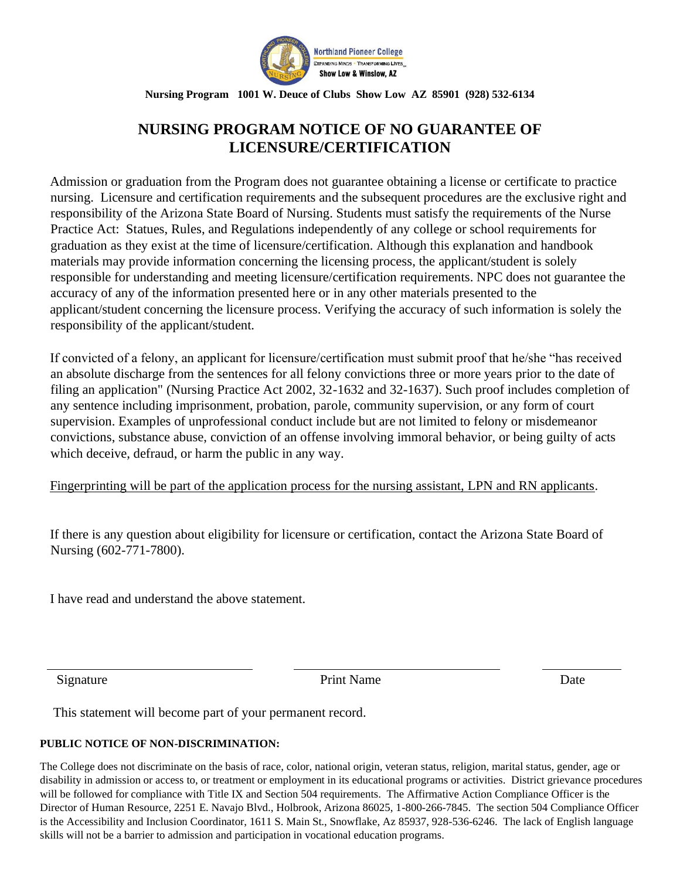

**Nursing Program 1001 W. Deuce of Clubs Show Low AZ 85901 (928) 532-6134**

# **NURSING PROGRAM NOTICE OF NO GUARANTEE OF LICENSURE/CERTIFICATION**

Admission or graduation from the Program does not guarantee obtaining a license or certificate to practice nursing. Licensure and certification requirements and the subsequent procedures are the exclusive right and responsibility of the Arizona State Board of Nursing. Students must satisfy the requirements of the Nurse Practice Act: Statues, Rules, and Regulations independently of any college or school requirements for graduation as they exist at the time of licensure/certification. Although this explanation and handbook materials may provide information concerning the licensing process, the applicant/student is solely responsible for understanding and meeting licensure/certification requirements. NPC does not guarantee the accuracy of any of the information presented here or in any other materials presented to the applicant/student concerning the licensure process. Verifying the accuracy of such information is solely the responsibility of the applicant/student.

If convicted of a felony, an applicant for licensure/certification must submit proof that he/she "has received an absolute discharge from the sentences for all felony convictions three or more years prior to the date of filing an application" (Nursing Practice Act 2002, 32-1632 and 32-1637). Such proof includes completion of any sentence including imprisonment, probation, parole, community supervision, or any form of court supervision. Examples of unprofessional conduct include but are not limited to felony or misdemeanor convictions, substance abuse, conviction of an offense involving immoral behavior, or being guilty of acts which deceive, defraud, or harm the public in any way.

Fingerprinting will be part of the application process for the nursing assistant, LPN and RN applicants.

If there is any question about eligibility for licensure or certification, contact the Arizona State Board of Nursing (602-771-7800).

I have read and understand the above statement.

Signature Date **Date** 

This statement will become part of your permanent record.

#### **PUBLIC NOTICE OF NON-DISCRIMINATION:**

The College does not discriminate on the basis of race, color, national origin, veteran status, religion, marital status, gender, age or disability in admission or access to, or treatment or employment in its educational programs or activities. District grievance procedures will be followed for compliance with Title IX and Section 504 requirements. The Affirmative Action Compliance Officer is the Director of Human Resource, 2251 E. Navajo Blvd., Holbrook, Arizona 86025, 1-800-266-7845. The section 504 Compliance Officer is the Accessibility and Inclusion Coordinator, 1611 S. Main St., Snowflake, Az 85937, 928-536-6246. The lack of English language skills will not be a barrier to admission and participation in vocational education programs.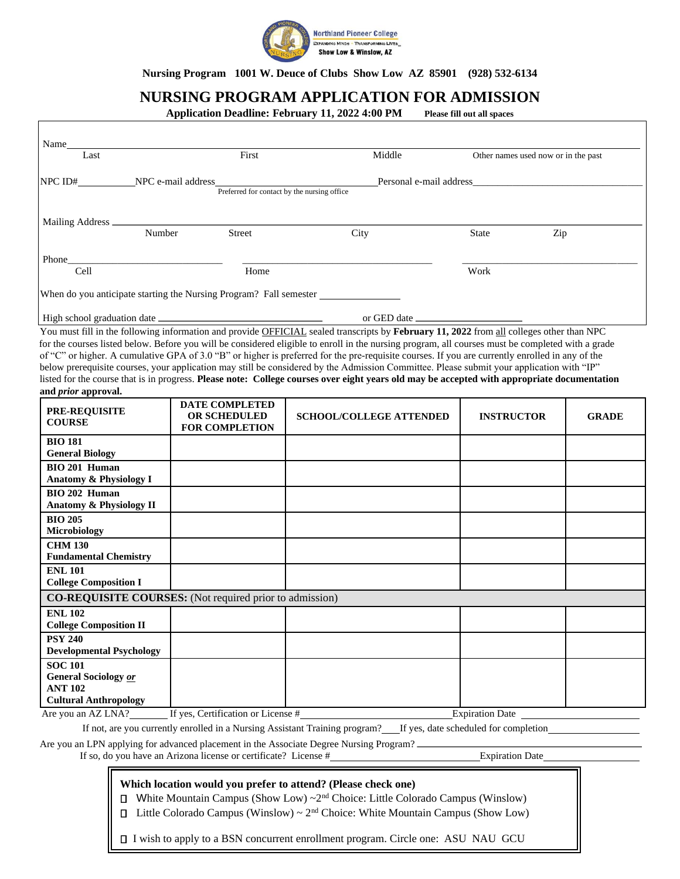

**Nursing Program 1001 W. Deuce of Clubs Show Low AZ 85901 (928) 532-6134**

## **NURSING PROGRAM APPLICATION FOR ADMISSION**

**Application Deadline: February 11, 2022 4:00 PM Please fill out all spaces**

| Name                                                                              | First                                                           | Middle                                                                                                                                            |                                     |              |
|-----------------------------------------------------------------------------------|-----------------------------------------------------------------|---------------------------------------------------------------------------------------------------------------------------------------------------|-------------------------------------|--------------|
| Last                                                                              |                                                                 |                                                                                                                                                   | Other names used now or in the past |              |
|                                                                                   |                                                                 |                                                                                                                                                   | Personal e-mail address             |              |
|                                                                                   |                                                                 | Preferred for contact by the nursing office                                                                                                       |                                     |              |
|                                                                                   |                                                                 |                                                                                                                                                   |                                     |              |
| Mailing Address                                                                   |                                                                 |                                                                                                                                                   |                                     |              |
| Number                                                                            | Street                                                          | City                                                                                                                                              | <b>State</b><br>Zip                 |              |
|                                                                                   |                                                                 |                                                                                                                                                   |                                     |              |
|                                                                                   |                                                                 |                                                                                                                                                   |                                     |              |
| Cell                                                                              | Home                                                            |                                                                                                                                                   | Work                                |              |
| When do you anticipate starting the Nursing Program? Fall semester ______________ |                                                                 |                                                                                                                                                   |                                     |              |
|                                                                                   |                                                                 |                                                                                                                                                   |                                     |              |
|                                                                                   |                                                                 | or GED date                                                                                                                                       |                                     |              |
|                                                                                   |                                                                 | You must fill in the following information and provide OFFICIAL sealed transcripts by February 11, 2022 from all colleges other than NPC          |                                     |              |
|                                                                                   |                                                                 | for the courses listed below. Before you will be considered eligible to enroll in the nursing program, all courses must be completed with a grade |                                     |              |
|                                                                                   |                                                                 | of "C" or higher. A cumulative GPA of 3.0 "B" or higher is preferred for the pre-requisite courses. If you are currently enrolled in any of the   |                                     |              |
|                                                                                   |                                                                 | below prerequisite courses, your application may still be considered by the Admission Committee. Please submit your application with "IP"         |                                     |              |
| and prior approval.                                                               |                                                                 | listed for the course that is in progress. Please note: College courses over eight years old may be accepted with appropriate documentation       |                                     |              |
|                                                                                   | DATE COMPLETED                                                  |                                                                                                                                                   |                                     |              |
| <b>PRE-REQUISITE</b>                                                              | <b>OR SCHEDULED</b>                                             | <b>SCHOOL/COLLEGE ATTENDED</b>                                                                                                                    | <b>INSTRUCTOR</b>                   | <b>GRADE</b> |
| <b>COURSE</b>                                                                     | <b>FOR COMPLETION</b>                                           |                                                                                                                                                   |                                     |              |
| <b>BIO 181</b>                                                                    |                                                                 |                                                                                                                                                   |                                     |              |
| <b>General Biology</b>                                                            |                                                                 |                                                                                                                                                   |                                     |              |
| BIO 201 Human                                                                     |                                                                 |                                                                                                                                                   |                                     |              |
| Anatomy & Physiology I                                                            |                                                                 |                                                                                                                                                   |                                     |              |
| BIO 202 Human                                                                     |                                                                 |                                                                                                                                                   |                                     |              |
| Anatomy & Physiology II                                                           |                                                                 |                                                                                                                                                   |                                     |              |
| <b>BIO 205</b>                                                                    |                                                                 |                                                                                                                                                   |                                     |              |
| Microbiology                                                                      |                                                                 |                                                                                                                                                   |                                     |              |
| <b>CHM 130</b><br><b>Fundamental Chemistry</b>                                    |                                                                 |                                                                                                                                                   |                                     |              |
| <b>ENL 101</b>                                                                    |                                                                 |                                                                                                                                                   |                                     |              |
| <b>College Composition I</b>                                                      |                                                                 |                                                                                                                                                   |                                     |              |
|                                                                                   | <b>CO-REQUISITE COURSES:</b> (Not required prior to admission)  |                                                                                                                                                   |                                     |              |
|                                                                                   |                                                                 |                                                                                                                                                   |                                     |              |
| <b>ENL 102</b><br><b>College Composition II</b>                                   |                                                                 |                                                                                                                                                   |                                     |              |
| <b>PSY 240</b>                                                                    |                                                                 |                                                                                                                                                   |                                     |              |
| <b>Developmental Psychology</b>                                                   |                                                                 |                                                                                                                                                   |                                     |              |
| <b>SOC 101</b>                                                                    |                                                                 |                                                                                                                                                   |                                     |              |
| <b>General Sociology or</b>                                                       |                                                                 |                                                                                                                                                   |                                     |              |
| <b>ANT 102</b>                                                                    |                                                                 |                                                                                                                                                   |                                     |              |
| <b>Cultural Anthropology</b>                                                      |                                                                 |                                                                                                                                                   |                                     |              |
| Are you an AZ LNA?                                                                | If yes, Certification or License #                              |                                                                                                                                                   | Expiration Date                     |              |
|                                                                                   |                                                                 | If not, are you currently enrolled in a Nursing Assistant Training program? If yes, date scheduled for completion                                 |                                     |              |
|                                                                                   |                                                                 | Are you an LPN applying for advanced placement in the Associate Degree Nursing Program?                                                           |                                     |              |
|                                                                                   | If so, do you have an Arizona license or certificate? License # |                                                                                                                                                   | Expiration Date                     |              |

#### **Which location would you prefer to attend? (Please check one)**

 $\Box$  White Mountain Campus (Show Low) ~2<sup>nd</sup> Choice: Little Colorado Campus (Winslow)

 $\Box$  Little Colorado Campus (Winslow) ~  $2<sup>nd</sup>$  Choice: White Mountain Campus (Show Low)

I wish to apply to a BSN concurrent enrollment program. Circle one: ASU NAU GCU